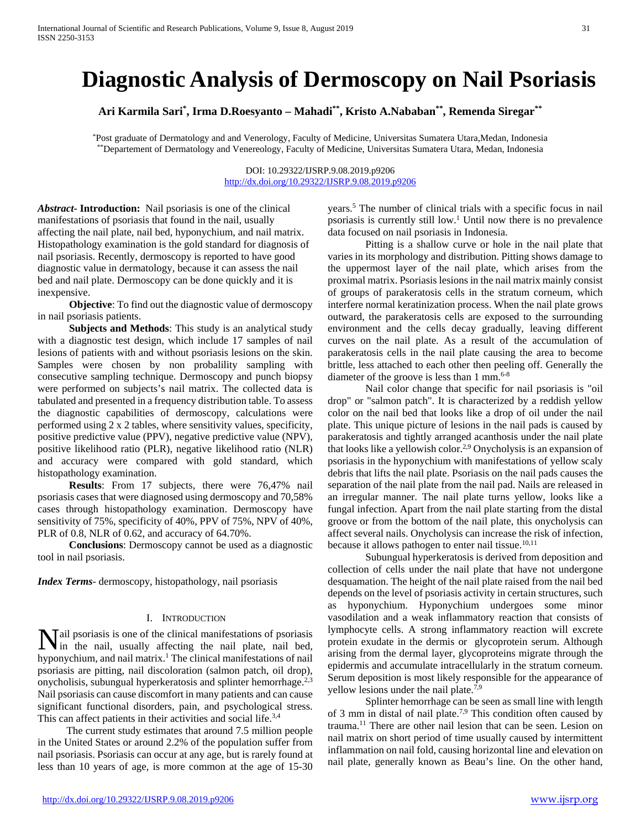# **Diagnostic Analysis of Dermoscopy on Nail Psoriasis**

**Ari Karmila Sari\* , Irma D.Roesyanto – Mahadi\*\*, Kristo A.Nababan\*\*, Remenda Siregar\*\***

\*Post graduate of Dermatology and and Venerology, Faculty of Medicine, Universitas Sumatera Utara,Medan, Indonesia \*\*Departement of Dermatology and Venereology, Faculty of Medicine, Universitas Sumatera Utara, Medan, Indonesia

> DOI: 10.29322/IJSRP.9.08.2019.p9206 <http://dx.doi.org/10.29322/IJSRP.9.08.2019.p9206>

*Abstract***- Introduction:** Nail psoriasis is one of the clinical manifestations of psoriasis that found in the nail, usually affecting the nail plate, nail bed, hyponychium, and nail matrix. Histopathology examination is the gold standard for diagnosis of nail psoriasis. Recently, dermoscopy is reported to have good diagnostic value in dermatology, because it can assess the nail bed and nail plate. Dermoscopy can be done quickly and it is inexpensive.

**Objective**: To find out the diagnostic value of dermoscopy in nail psoriasis patients.

 **Subjects and Methods**: This study is an analytical study with a diagnostic test design, which include 17 samples of nail lesions of patients with and without psoriasis lesions on the skin. Samples were chosen by non probalility sampling with consecutive sampling technique. Dermoscopy and punch biopsy were performed on subjects's nail matrix. The collected data is tabulated and presented in a frequency distribution table. To assess the diagnostic capabilities of dermoscopy, calculations were performed using 2 x 2 tables, where sensitivity values, specificity, positive predictive value (PPV), negative predictive value (NPV), positive likelihood ratio (PLR), negative likelihood ratio (NLR) and accuracy were compared with gold standard, which histopathology examination.

**Results**: From 17 subjects, there were 76,47% nail psoriasis cases that were diagnosed using dermoscopy and 70,58% cases through histopathology examination. Dermoscopy have sensitivity of 75%, specificity of 40%, PPV of 75%, NPV of 40%, PLR of 0.8, NLR of 0.62, and accuracy of 64.70%.

 **Conclusions**: Dermoscopy cannot be used as a diagnostic tool in nail psoriasis.

*Index Terms*- dermoscopy, histopathology, nail psoriasis

### I. INTRODUCTION

ail psoriasis is one of the clinical manifestations of psoriasis **N** ail psoriasis is one of the clinical manifestations of psoriasis in the nail, usually affecting the nail plate, nail bed, hyponychium, and nail matrix.<sup>1</sup> The clinical manifestations of nail psoriasis are pitting, nail discoloration (salmon patch, oil drop), onycholisis, subungual hyperkeratosis and splinter hemorrhage.<sup>2,3</sup> Nail psoriasis can cause discomfort in many patients and can cause significant functional disorders, pain, and psychological stress. This can affect patients in their activities and social life.<sup>3,4</sup>

 The current study estimates that around 7.5 million people in the United States or around 2.2% of the population suffer from nail psoriasis. Psoriasis can occur at any age, but is rarely found at less than 10 years of age, is more common at the age of 15-30 years.5 The number of clinical trials with a specific focus in nail psoriasis is currently still low.1 Until now there is no prevalence data focused on nail psoriasis in Indonesia.

Pitting is a shallow curve or hole in the nail plate that varies in its morphology and distribution. Pitting shows damage to the uppermost layer of the nail plate, which arises from the proximal matrix. Psoriasis lesions in the nail matrix mainly consist of groups of parakeratosis cells in the stratum corneum, which interfere normal keratinization process. When the nail plate grows outward, the parakeratosis cells are exposed to the surrounding environment and the cells decay gradually, leaving different curves on the nail plate. As a result of the accumulation of parakeratosis cells in the nail plate causing the area to become brittle, less attached to each other then peeling off. Generally the diameter of the groove is less than  $1 \text{ mm}^{6-8}$ 

Nail color change that specific for nail psoriasis is "oil drop" or "salmon patch". It is characterized by a reddish yellow color on the nail bed that looks like a drop of oil under the nail plate. This unique picture of lesions in the nail pads is caused by parakeratosis and tightly arranged acanthosis under the nail plate that looks like a yellowish color.2,9 Onycholysis is an expansion of psoriasis in the hyponychium with manifestations of yellow scaly debris that lifts the nail plate. Psoriasis on the nail pads causes the separation of the nail plate from the nail pad. Nails are released in an irregular manner. The nail plate turns yellow, looks like a fungal infection. Apart from the nail plate starting from the distal groove or from the bottom of the nail plate, this onycholysis can affect several nails. Onycholysis can increase the risk of infection, because it allows pathogen to enter nail tissue.<sup>10,11</sup>

Subungual hyperkeratosis is derived from deposition and collection of cells under the nail plate that have not undergone desquamation. The height of the nail plate raised from the nail bed depends on the level of psoriasis activity in certain structures, such as hyponychium. Hyponychium undergoes some minor vasodilation and a weak inflammatory reaction that consists of lymphocyte cells. A strong inflammatory reaction will excrete protein exudate in the dermis or glycoprotein serum. Although arising from the dermal layer, glycoproteins migrate through the epidermis and accumulate intracellularly in the stratum corneum. Serum deposition is most likely responsible for the appearance of yellow lesions under the nail plate. $\bar{7,9}$ 

Splinter hemorrhage can be seen as small line with length of 3 mm in distal of nail plate.7,9 This condition often caused by trauma.11 There are other nail lesion that can be seen. Lesion on nail matrix on short period of time usually caused by intermittent inflammation on nail fold, causing horizontal line and elevation on nail plate, generally known as Beau's line. On the other hand,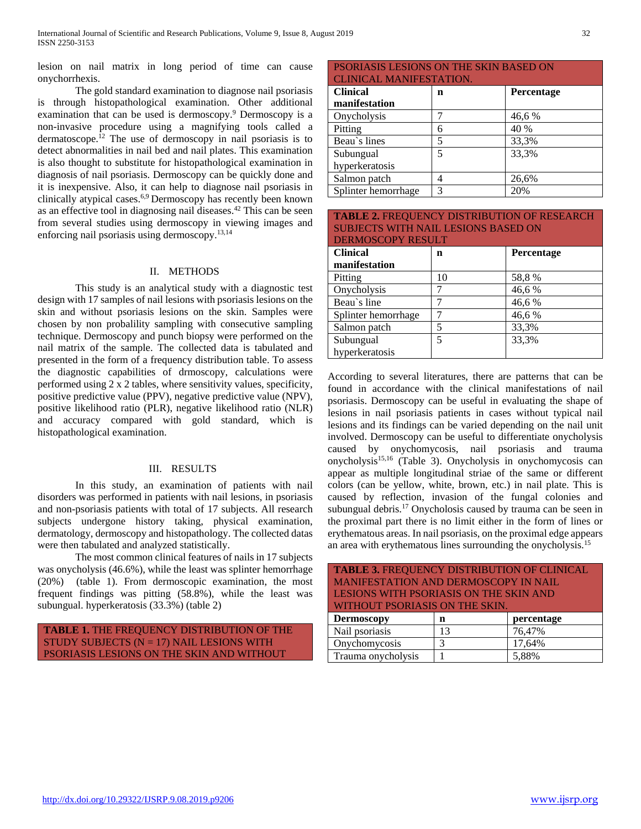lesion on nail matrix in long period of time can cause onychorrhexis.

The gold standard examination to diagnose nail psoriasis is through histopathological examination. Other additional examination that can be used is dermoscopy.9 Dermoscopy is a non-invasive procedure using a magnifying tools called a dermatoscope.<sup>12</sup> The use of dermoscopy in nail psoriasis is to detect abnormalities in nail bed and nail plates. This examination is also thought to substitute for histopathological examination in diagnosis of nail psoriasis. Dermoscopy can be quickly done and it is inexpensive. Also, it can help to diagnose nail psoriasis in clinically atypical cases.6,9 Dermoscopy has recently been known as an effective tool in diagnosing nail diseases.42 This can be seen from several studies using dermoscopy in viewing images and enforcing nail psoriasis using dermoscopy.13,14

## II. METHODS

This study is an analytical study with a diagnostic test design with 17 samples of nail lesions with psoriasis lesions on the skin and without psoriasis lesions on the skin. Samples were chosen by non probalility sampling with consecutive sampling technique. Dermoscopy and punch biopsy were performed on the nail matrix of the sample. The collected data is tabulated and presented in the form of a frequency distribution table. To assess the diagnostic capabilities of drmoscopy, calculations were performed using 2 x 2 tables, where sensitivity values, specificity, positive predictive value (PPV), negative predictive value (NPV), positive likelihood ratio (PLR), negative likelihood ratio (NLR) and accuracy compared with gold standard, which is histopathological examination.

### III. RESULTS

In this study, an examination of patients with nail disorders was performed in patients with nail lesions, in psoriasis and non-psoriasis patients with total of 17 subjects. All research subjects undergone history taking, physical examination, dermatology, dermoscopy and histopathology. The collected datas were then tabulated and analyzed statistically.

The most common clinical features of nails in 17 subjects was onycholysis (46.6%), while the least was splinter hemorrhage (20%) (table 1). From dermoscopic examination, the most frequent findings was pitting (58.8%), while the least was subungual. hyperkeratosis (33.3%) (table 2)

**TABLE 1.** THE FREQUENCY DISTRIBUTION OF THE STUDY SUBJECTS  $(N = 17)$  NAIL LESIONS WITH PSORIASIS LESIONS ON THE SKIN AND WITHOUT

| <b>PSORIASIS LESIONS ON THE SKIN BASED ON</b> |   |            |  |  |  |
|-----------------------------------------------|---|------------|--|--|--|
| <b>CLINICAL MANIFESTATION.</b>                |   |            |  |  |  |
| <b>Clinical</b>                               | n | Percentage |  |  |  |
| manifestation                                 |   |            |  |  |  |
| Onycholysis                                   |   | 46,6%      |  |  |  |
| Pitting                                       | 6 | 40 %       |  |  |  |
| Beau's lines                                  | 5 | 33,3%      |  |  |  |
| Subungual                                     | 5 | 33,3%      |  |  |  |
| hyperkeratosis                                |   |            |  |  |  |
| Salmon patch                                  |   | 26,6%      |  |  |  |
| Splinter hemorrhage                           | 3 | 20%        |  |  |  |

| <b>TABLE 2. FREQUENCY DISTRIBUTION OF RESEARCH</b> |    |            |  |  |  |
|----------------------------------------------------|----|------------|--|--|--|
| <b>SUBJECTS WITH NAIL LESIONS BASED ON</b>         |    |            |  |  |  |
| <b>DERMOSCOPY RESULT</b>                           |    |            |  |  |  |
| <b>Clinical</b>                                    | n  | Percentage |  |  |  |
| manifestation                                      |    |            |  |  |  |
| Pitting                                            | 10 | 58,8%      |  |  |  |
| Onycholysis                                        |    | 46,6%      |  |  |  |
| Beau's line                                        |    | 46,6%      |  |  |  |
| Splinter hemorrhage                                |    | 46,6%      |  |  |  |
| Salmon patch                                       | 5  | 33,3%      |  |  |  |
| Subungual                                          | 5  | 33,3%      |  |  |  |
| hyperkeratosis                                     |    |            |  |  |  |

According to several literatures, there are patterns that can be found in accordance with the clinical manifestations of nail psoriasis. Dermoscopy can be useful in evaluating the shape of lesions in nail psoriasis patients in cases without typical nail lesions and its findings can be varied depending on the nail unit involved. Dermoscopy can be useful to differentiate onycholysis caused by onychomycosis, nail psoriasis and trauma onycholysis15,16 (Table 3). Onycholysis in onychomycosis can appear as multiple longitudinal striae of the same or different colors (can be yellow, white, brown, etc.) in nail plate. This is caused by reflection, invasion of the fungal colonies and subungual debris.<sup>17</sup> Onycholosis caused by trauma can be seen in the proximal part there is no limit either in the form of lines or erythematous areas. In nail psoriasis, on the proximal edge appears an area with erythematous lines surrounding the onycholysis.15

| <b>TABLE 3. FREQUENCY DISTRIBUTION OF CLINICAL</b> |    |            |  |  |  |  |  |
|----------------------------------------------------|----|------------|--|--|--|--|--|
| MANIFESTATION AND DERMOSCOPY IN NAIL               |    |            |  |  |  |  |  |
| LESIONS WITH PSORIASIS ON THE SKIN AND             |    |            |  |  |  |  |  |
| WITHOUT PSORIASIS ON THE SKIN.                     |    |            |  |  |  |  |  |
|                                                    |    |            |  |  |  |  |  |
| <b>Dermoscopy</b>                                  | n  | percentage |  |  |  |  |  |
| Nail psoriasis                                     | 13 | 76,47%     |  |  |  |  |  |
| Onychomycosis                                      |    | 17,64%     |  |  |  |  |  |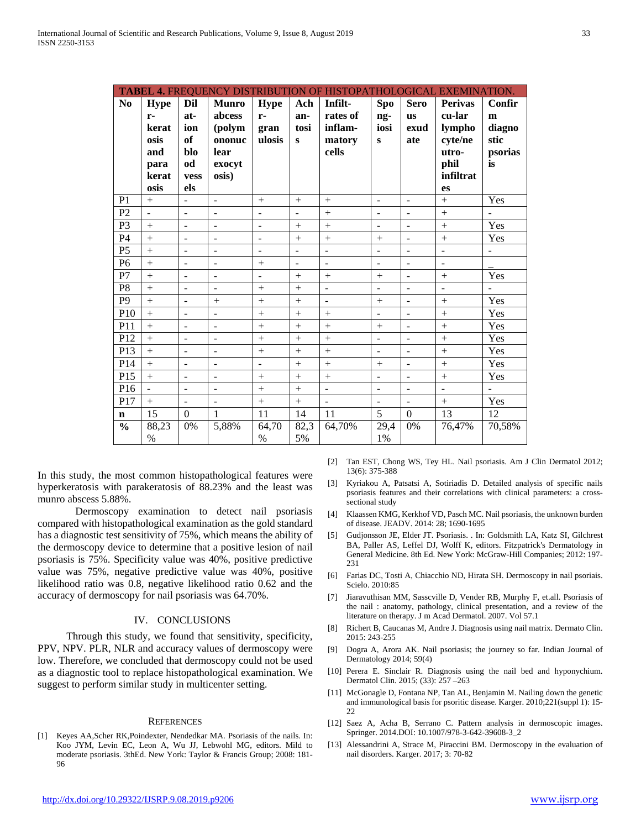|                |                |                          |                          |                          |                | TABEL 4. FREQUENCY DISTRIBUTION OF HISTOPATHOLOGICAL EXEMINATION. |                |                          |                          |                          |
|----------------|----------------|--------------------------|--------------------------|--------------------------|----------------|-------------------------------------------------------------------|----------------|--------------------------|--------------------------|--------------------------|
| No             | <b>Hype</b>    | Dil                      | <b>Munro</b>             | <b>Hype</b>              | Ach            | Infilt-                                                           | Spo            | <b>Sero</b>              | <b>Perivas</b>           | Confir                   |
|                | $r-$           | at-                      | abcess                   | $r-$                     | an-            | rates of                                                          | ng-            | <b>us</b>                | cu-lar                   | m                        |
|                | kerat          | ion                      | (polym                   | gran                     | tosi           | inflam-                                                           | iosi           | exud                     | lympho                   | diagno                   |
|                | osis           | of                       | ononuc                   | ulosis                   | $\mathbf{s}$   | matory                                                            | $\bf{s}$       | ate                      | cyte/ne                  | stic                     |
|                | and            | blo                      | lear                     |                          |                | cells                                                             |                |                          | utro-                    | psorias                  |
|                | para           | od                       | exocyt                   |                          |                |                                                                   |                |                          | phil                     | is                       |
|                | kerat          | vess                     | osis)                    |                          |                |                                                                   |                |                          | infiltrat                |                          |
|                | osis           | els                      |                          |                          |                |                                                                   |                |                          | es                       |                          |
| P <sub>1</sub> | $+$            | $\overline{a}$           | $\overline{\phantom{a}}$ | $+$                      | $+$            | $+$                                                               | $\sim$         | $\blacksquare$           | $+$                      | Yes                      |
| P2             | ÷,             | L.                       | ÷,                       | ÷,                       | ÷,             | $^{+}$                                                            |                | ÷,                       | $^{+}$                   |                          |
| P <sub>3</sub> | $+$            | $\overline{a}$           | $\overline{\phantom{a}}$ | $\blacksquare$           | $+$            | $^{+}$                                                            | $\blacksquare$ | $\overline{a}$           | $^{+}$                   | Yes                      |
| P <sub>4</sub> | $\ddot{}$      | $\frac{1}{2}$            | ÷                        | $\overline{\phantom{a}}$ | $+$            | $^{+}$                                                            | $+$            | $\overline{\phantom{0}}$ | $+$                      | Yes                      |
| P <sub>5</sub> | $^{+}$         | $\overline{a}$           | ÷                        | ÷                        | $\overline{a}$ | ÷                                                                 |                | ÷,                       | $\overline{a}$           | $\overline{\phantom{0}}$ |
| P <sub>6</sub> | $^{+}$         | $\overline{\phantom{a}}$ | ÷,                       | $^{+}$                   | ÷,             | ÷,                                                                | $\blacksquare$ | $\overline{a}$           | $\overline{a}$           |                          |
| P7             | $+$            | $\overline{a}$           | ÷,                       | ÷,                       | $+$            | $+$                                                               | $+$            | $\overline{a}$           | $+$                      | Yes                      |
| P <sub>8</sub> | $^{+}$         | $\overline{a}$           | $\overline{a}$           | $^{+}$                   | $+$            | $\overline{a}$                                                    | $\blacksquare$ | $\frac{1}{2}$            | $\overline{\phantom{a}}$ | ÷.                       |
| P <sub>9</sub> | $\ddot{}$      | $\overline{a}$           | $^{+}$                   | $^{+}$                   | $\ddot{}$      | $\overline{\phantom{0}}$                                          | $+$            | $\overline{\phantom{a}}$ | $+$                      | Yes                      |
| P10            | $\ddot{}$      | $\overline{a}$           | ÷,                       | $\ddot{}$                | $\ddot{}$      | $\ddot{}$                                                         |                | ÷,                       | $+$                      | Yes                      |
| P11            | $^{+}$         | $\overline{a}$           | $\overline{a}$           | $^{+}$                   | $^{+}$         | $^{+}$                                                            |                | $\frac{1}{2}$            | $+$                      | Yes                      |
| P12            | $+$            | ÷,                       | $\overline{\phantom{a}}$ | $^{+}$                   | $\ddot{}$      | $^{+}$                                                            | $\overline{a}$ | $\overline{a}$           | $^{+}$                   | Yes                      |
| P13            | $+$            | $\overline{a}$           | $\overline{a}$           | $^{+}$                   | $+$            | $^{+}$                                                            | $\sim$         | ÷,                       | $+$                      | Yes                      |
| P14            |                | ÷,                       | $\overline{\phantom{a}}$ | $\overline{a}$           | $^{+}$         | $^{+}$                                                            | $+$            | $\overline{a}$           | $^{+}$                   | Yes                      |
| P15            | $^{+}$         | $\overline{a}$           | $\overline{\phantom{a}}$ | $^{+}$                   | $+$            | $^{+}$                                                            | $\blacksquare$ | $\overline{a}$           | $+$                      | Yes                      |
| P16            | $\overline{a}$ | $\overline{\phantom{m}}$ | ÷,                       | $^{+}$                   | $\ddot{}$      | ÷,                                                                | $\sim$         | ÷,                       | $\overline{a}$           |                          |
| P17            | $+$            | $\overline{a}$           | ÷,                       | $^{+}$                   | $\ddot{}$      | ÷,                                                                | $\blacksquare$ | $\overline{a}$           | $+$                      | Yes                      |
| $\mathbf n$    | 15             | $\Omega$                 | $\mathbf{1}$             | $\overline{11}$          | 14             | 11                                                                | $\overline{5}$ | $\mathbf{0}$             | 13                       | 12                       |
| $\frac{0}{0}$  | 88,23          | 0%                       | 5,88%                    | 64,70                    | 82,3           | 64,70%                                                            | 29,4           | 0%                       | 76,47%                   | 70,58%                   |
|                | $\%$           |                          |                          | $\%$                     | 5%             |                                                                   | 1%             |                          |                          |                          |

In this study, the most common histopathological features were hyperkeratosis with parakeratosis of 88.23% and the least was munro abscess 5.88%.

Dermoscopy examination to detect nail psoriasis compared with histopathological examination as the gold standard has a diagnostic test sensitivity of 75%, which means the ability of the dermoscopy device to determine that a positive lesion of nail psoriasis is 75%. Specificity value was 40%, positive predictive value was 75%, negative predictive value was 40%, positive likelihood ratio was 0.8, negative likelihood ratio 0.62 and the accuracy of dermoscopy for nail psoriasis was 64.70%.

## **IV. CONCLUSIONS**

Through this study, we found that sensitivity, specificity, PPV, NPV. PLR, NLR and accuracy values of dermoscopy were low. Therefore, we concluded that dermoscopy could not be used as a diagnostic tool to replace histopathological examination. We suggest to perform similar study in multicenter setting.

#### **REFERENCES**

[1] Keyes AA, Scher RK, Poindexter, Nendedkar MA. Psoriasis of the nails. In: Koo JYM, Levin EC, Leon A, Wu JJ, Lebwohl MG, editors. Mild to moderate psoriasis. 3thEd. New York: Taylor & Francis Group; 2008: 181-96

- [2] Tan EST, Chong WS, Tey HL. Nail psoriasis. Am J Clin Dermatol 2012; 13(6): 375-388
- [3] Kyriakou A, Patsatsi A, Sotiriadis D. Detailed analysis of specific nails psoriasis features and their correlations with clinical parameters: a crosssectional study
- [4] Klaassen KMG, Kerkhof VD, Pasch MC. Nail psoriasis, the unknown burden of disease. JEADV. 2014: 28; 1690-1695
- Gudjonsson JE, Elder JT. Psoriasis. . In: Goldsmith LA, Katz SI, Gilchrest  $[5]$ BA, Paller AS, Leffel DJ, Wolff K, editors. Fitzpatrick's Dermatology in General Medicine. 8th Ed. New York: McGraw-Hill Companies; 2012: 197-231
- [6] Farias DC, Tosti A, Chiacchio ND, Hirata SH. Dermoscopy in nail psoriais. Scielo, 2010:85
- Jiaravuthisan MM, Sasscville D, Vender RB, Murphy F, et.all. Psoriasis of  $[7]$ the nail: anatomy, pathology, clinical presentation, and a review of the literature on therapy. J m Acad Dermatol. 2007. Vol 57.1
- Richert B, Caucanas M, Andre J. Diagnosis using nail matrix. Dermato Clin.  $[8]$ 2015: 243-255
- [9] Dogra A, Arora AK. Nail psoriasis; the journey so far. Indian Journal of Dermatology 2014; 59(4)
- [10] Perera E. Sinclair R. Diagnosis using the nail bed and hyponychium. Dermatol Clin. 2015; (33): 257-263
- [11] McGonagle D, Fontana NP, Tan AL, Benjamin M. Nailing down the genetic and immunological basis for psoritic disease. Karger. 2010;221(suppl 1): 15-22
- [12] Saez A, Acha B, Serrano C. Pattern analysis in dermoscopic images. Springer. 2014.DOI: 10.1007/978-3-642-39608-3\_2
- [13] Alessandrini A, Strace M, Piraccini BM. Dermoscopy in the evaluation of nail disorders. Karger. 2017; 3: 70-82